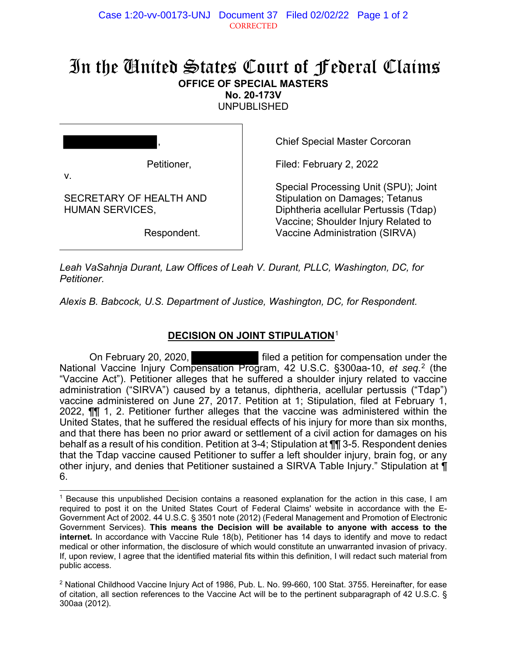**CORRECTED** Case 1:20-vv-00173-UNJ Document 37 Filed 02/02/22 Page 1 of 2

## In the United States Court of Federal Claims **OFFICE OF SPECIAL MASTERS**

**No. 20-173V** 

UNPUBLISHED

| $\overline{\phantom{a}}$                          |  |
|---------------------------------------------------|--|
| Petitioner,<br>V.                                 |  |
| SECRETARY OF HEALTH AND<br><b>HUMAN SERVICES,</b> |  |

Respondent.

Chief Special Master Corcoran

Filed: February 2, 2022

Special Processing Unit (SPU); Joint Stipulation on Damages; Tetanus Diphtheria acellular Pertussis (Tdap) Vaccine; Shoulder Injury Related to Vaccine Administration (SIRVA)

*Leah VaSahnja Durant, Law Offices of Leah V. Durant, PLLC, Washington, DC, for Petitioner.*

*Alexis B. Babcock, U.S. Department of Justice, Washington, DC, for Respondent.*

## **DECISION ON JOINT STIPULATION**[1](#page-0-0)

On February 20, 2020, filed a petition for compensation under the National Vaccine Injury Compensation Program, 42 U.S.C. §300aa-10, *et seq.* [2](#page-0-1) (the "Vaccine Act"). Petitioner alleges that he suffered a shoulder injury related to vaccine administration ("SIRVA") caused by a tetanus, diphtheria, acellular pertussis ("Tdap") vaccine administered on June 27, 2017. Petition at 1; Stipulation, filed at February 1, 2022, ¶¶ 1, 2. Petitioner further alleges that the vaccine was administered within the United States, that he suffered the residual effects of his injury for more than six months, and that there has been no prior award or settlement of a civil action for damages on his behalf as a result of his condition. Petition at 3-4; Stipulation at ¶¶ 3-5. Respondent denies that the Tdap vaccine caused Petitioner to suffer a left shoulder injury, brain fog, or any other injury, and denies that Petitioner sustained a SIRVA Table Injury." Stipulation at ¶ 6.

<span id="page-0-0"></span><sup>1</sup> Because this unpublished Decision contains a reasoned explanation for the action in this case, I am required to post it on the United States Court of Federal Claims' website in accordance with the E-Government Act of 2002. 44 U.S.C. § 3501 note (2012) (Federal Management and Promotion of Electronic Government Services). **This means the Decision will be available to anyone with access to the internet.** In accordance with Vaccine Rule 18(b), Petitioner has 14 days to identify and move to redact medical or other information, the disclosure of which would constitute an unwarranted invasion of privacy. If, upon review, I agree that the identified material fits within this definition, I will redact such material from public access.

<span id="page-0-1"></span> $2$  National Childhood Vaccine Injury Act of 1986, Pub. L. No. 99-660, 100 Stat. 3755. Hereinafter, for ease of citation, all section references to the Vaccine Act will be to the pertinent subparagraph of 42 U.S.C. § 300aa (2012).